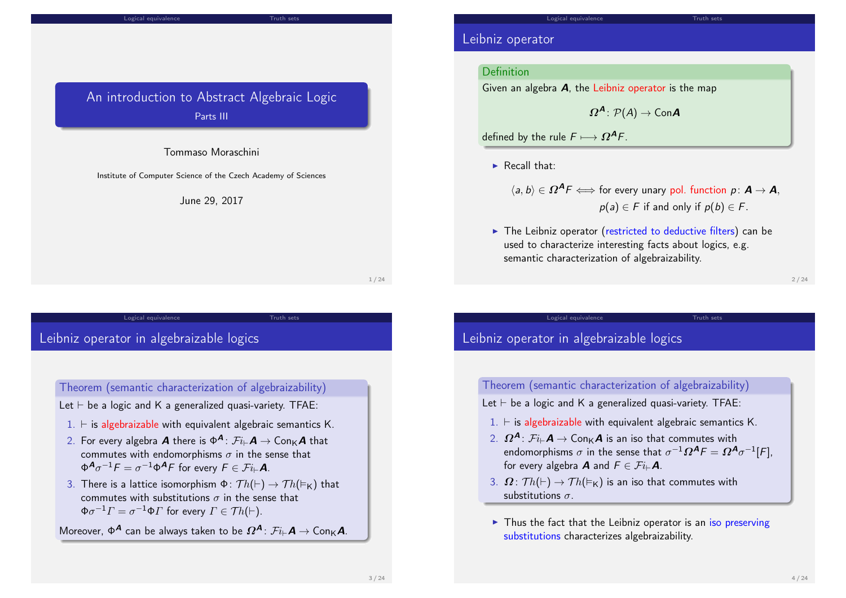#### Logical equivalence Truth sets

## An introduction to Abstract Algebraic Logic Parts III

#### Tommaso Moraschini

Institute of Computer Science of the Czech Academy of Sciences

June 29, 2017

Logical equivalence Truth sets

1 / 24

## Leibniz o[perator in a](#page-1-0)lgebraizable lo[gics](#page-3-0)

Theorem (semantic characterization of algebraizability)

- Let  $\vdash$  be a logic and K a generalized quasi-variety. TFAE:
	- $1. \vdash$  is algebraizable with equivalent algebraic semantics K.
	- 2. For every algebra  $\boldsymbol{A}$  there is  $\Phi^{\boldsymbol{A}}\colon \mathcal{F}i_\vdash \boldsymbol{A} \to \mathsf{Con}_{\mathsf{K}}\boldsymbol{A}$  that commutes with endomorphisms  $\sigma$  in the sense that  $\Phi^{\mathcal{A}} \sigma^{-1} \mathcal{F} = \sigma^{-1} \Phi^{\mathcal{A}} \mathcal{F}$  for every  $\mathcal{F} \in \mathcal{F} i_{\vdash} \mathcal{A}$ .
- 3. There is a lattice isomorphism  $\Phi \colon Th(\vdash) \to Th(\vdash_{K})$  that commutes with substitutions  $\sigma$  in the sense that  $\Phi \sigma^{-1} \varGamma = \sigma^{-1} \Phi \varGamma$  for every  $\varGamma \in \mathcal{T} h(\vdash).$

Moreover,  $\Phi^{\bm{A}}$  can be always taken to be  $\bm{\varOmega}^{\bm{A}}\colon \mathcal{F}i_\vdash \bm{A}\to {\sf Con}_{\mathsf{K}}\bm{A}.$ 

### Leibniz operator

### Definition

Given an algebra  $A$ , the Leibniz operator is the map

$$
\boldsymbol{\varOmega}^{\boldsymbol{A}}\colon\mathcal{P}(\boldsymbol{A})\to\mathsf{Con}\boldsymbol{A}
$$

defined by the rule  $F \longmapsto \Omega^A F$ .

- $\blacktriangleright$  Recall that:
	- $\langle a, b \rangle \in \Omega^A F \Longleftrightarrow$  for every unary pol. function  $p: \mathbf{A} \rightarrow \mathbf{A}$ ,  $p(a) \in F$  if and only if  $p(b) \in F$ .
- $\triangleright$  The Leibniz operator (restricted to deductive filters) can be used to characterize interesting facts about logics, e.g. semantic characterization of algebraizability.

Logical equivalence Truth sets

2 / 24

# Leibniz operator in algebraizable logics

### Theorem (semantic characterization of algebraizability)

Let  $\vdash$  be a logic and K a generalized quasi-variety. TFAE:

- $1. \vdash$  is algebraizable with equivalent algebraic semantics K.
- 2.  $\Omega^{\mathcal{A}}$ :  $\mathcal{F}i\rightarrow \mathcal{A}$   $\rightarrow$  Con $\ltimes \mathcal{A}$  is an iso that commutes with endomorphisms  $\sigma$  in the sense that  $\sigma^{-1}\Omega^{\textbf{\textit{A}}} \digamma = \Omega^{\textbf{\textit{A}}}\sigma^{-1}[\digamma],$ for every algebra **A** and  $F \in \mathcal{F}i_{\vdash}A$ .
- 3.  $\Omega$ :  $Th(\vdash) \rightarrow Th(\vDash_{K})$  is an iso that commutes with substitutions  $\sigma$
- $\triangleright$  Thus the fact that the Leibniz operator is an iso preserving substitutions characterizes algebraizability.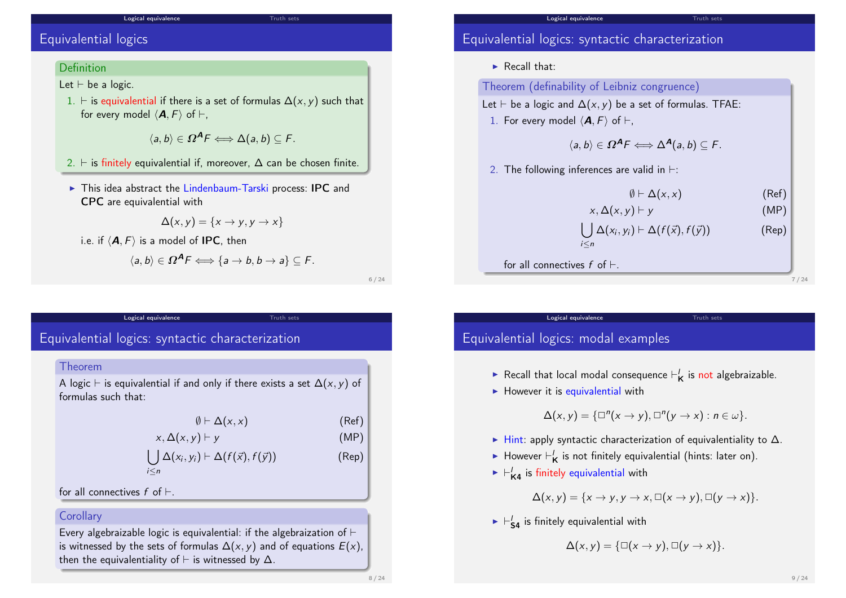## Equivalential logics

### **Definition**

Let  $\vdash$  be a logic.

1.  $\vdash$  is equivalential if there is a set of formulas  $\Delta(x, y)$  such that for every model  $\langle \mathbf{A}, F \rangle$  of  $\vdash$ ,

Logical equivalence Truth sets

 $\langle a, b \rangle \in \Omega^A F \Longleftrightarrow \Delta(a, b) \subseteq F.$ 

- 2.  $\vdash$  is finitely equivalential if, moreover,  $\Delta$  can be chosen finite.
- $\triangleright$  This idea abstract the Lindenbaum-Tarski process: IPC and CPC are equivalential with

$$
\Delta(x, y) = \{x \rightarrow y, y \rightarrow x\}
$$

i.e. if  $\langle A, F \rangle$  is a model of IPC, then

$$
\langle a,b\rangle\in \Omega^{\mathcal{A}}F\Longleftrightarrow\{a\rightarrow b,b\rightarrow a\}\subseteq F.
$$

6 / 24

### <span id="page-1-0"></span>Equivale[ntial logics:](#page-1-0) syntactic char[acteriz](#page-3-0)ation

#### Theorem

A logic  $\vdash$  is equivalential if and only if there exists a set  $\Delta(x, y)$  of formulas such that:

Logical equivalence Truth sets

$$
\emptyset \vdash \Delta(x, x) \tag{Ref}
$$

$$
x, \Delta(x, y) \vdash y \tag{MP}
$$

$$
\bigcup_{i\leq n}\Delta(x_i,y_i)\vdash \Delta(f(\vec{x}),f(\vec{y}))\qquad \qquad \text{(Rep)}
$$

for all connectives  $f$  of  $\vdash$ .

### **Corollary**

Every algebraizable logic is equivalential: if the algebraization of  $\vdash$ is witnessed by the sets of formulas  $\Delta(x, y)$  and of equations  $E(x)$ , then the equivalentiality of  $\vdash$  is witnessed by  $\Delta$ .

### Equivalential logics: syntactic characterization

 $\blacktriangleright$  Recall that:

### Theorem (definability of Leibniz congruence)

Let  $\vdash$  be a logic and  $\Delta(x, y)$  be a set of formulas. TFAE:

Logical equivalence Truth sets

1. For every model  $\langle \mathbf{A}, F \rangle$  of  $\vdash$ .

$$
\langle a,b\rangle\in \Omega^{\mathbf{A}} F\Longleftrightarrow \Delta^{\mathbf{A}}(a,b)\subseteq F.
$$

2. The following inferences are valid in  $\vdash$ :

$$
\emptyset \vdash \Delta(x, x) \tag{Ref}
$$

$$
x, \Delta(x, y) \vdash y \qquad (MP)
$$
  
\n
$$
\bigcup_{i \leq n} \Delta(x_i, y_i) \vdash \Delta(f(\vec{x}), f(\vec{y})) \qquad (Rep)
$$

for all connectives  $f$  of  $\vdash$ .

7 / 24

# Equivalential logics: modal examples

Recall that local modal consequence  $\vdash'_{\mathsf{K}}$  is not algebraizable.

Logical equivalence Truth sets

 $\blacktriangleright$  However it is equivalential with

 $\Delta(x, y) = {\square}^n(x \to y), \square^n(y \to x) : n \in \omega$ .

- $\blacktriangleright$  Hint: apply syntactic characterization of equivalentiality to  $\Delta$ .
- $\blacktriangleright$  However  $\vdash'_{\mathsf{K}}$  is not finitely equivalential (hints: later on).
- $\blacktriangleright \vdash_{\mathsf{K4}}'$  is finitely equivalential with

$$
\Delta(x,y)=\{x\to y, y\to x, \Box(x\to y), \Box(y\to x)\}.
$$

 $\blacktriangleright \vdash'_{\mathsf{S4}}$  is finitely equivalential with

 $\Delta(x, y) = {\Box(x \rightarrow y), \Box(y \rightarrow x)}.$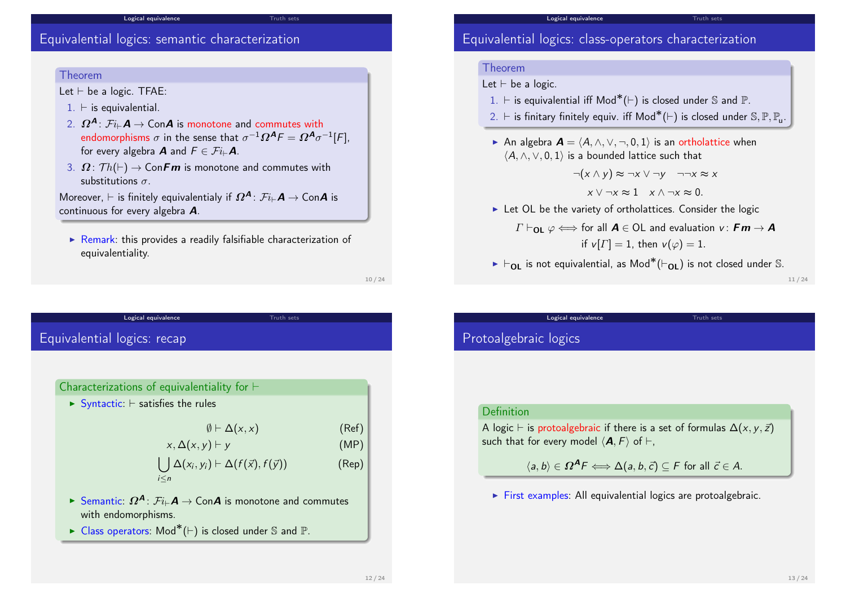### Equivalential logics: semantic characterization

### Theorem

Let  $\vdash$  be a logic. TFAE:

- $1. \vdash$  is equivalential.
- 2.  $\Omega^{\mathcal{A}}$ :  $\mathcal{F}i\rightarrow \mathcal{A}$   $\rightarrow$  Con $\mathcal{A}$  is monotone and commutes with endomorphisms  $\sigma$  in the sense that  $\sigma^{-1}\Omega^{\textbf{\textit{A}}} \digamma = \Omega^{\textbf{\textit{A}}}\sigma^{-1}[\digamma],$ for every algebra **A** and  $F \in \mathcal{F}i_{\vdash}A$ .

Logical equivalence Truth sets

3.  $\Omega: Th(\vdash) \to ConFm$  is monotone and commutes with substitutions  $\sigma$ 

Moreover,  $\vdash$  is finitely equivalentialy if  $\Omega^{\mathcal{A}}$ :  $\mathcal{F}i_{\vdash}A \to \mathsf{Con}\mathcal{A}$  is continuous for every algebra A.

 $\triangleright$  Remark: this provides a readily falsifiable characterization of equivalentiality.

Logical equivalence Truth sets

10 / 24

### Equivale[ntial logics:](#page-1-0) recap

#### Characterizations of equivalentiality for  $\vdash$

 $\triangleright$  Syntactic:  $\vdash$  satisfies the rules

$$
\emptyset \vdash \Delta(x, x) \tag{Ref}
$$

$$
x, \Delta(x, y) \vdash y \tag{MP}
$$

$$
\bigcup_{i\leq n}\Delta(x_i,y_i)\vdash \Delta(f(\vec{x}),f(\vec{y}))\qquad \qquad \text{(Rep)}
$$

- ► Semantic:  $\Omega^{\mathcal{A}}$ :  $\mathcal{F}i_{\vdash}\mathcal{A}$  → Con $\mathcal{A}$  is monotone and commutes with endomorphisms.
- ► Class operators:  $\mathsf{Mod}^*(\vdash)$  is closed under S and  $\mathbb{P}.$

### Equivalential logics: class-operators characterization

Logical equivalence

#### Theorem

### Let  $\vdash$  be a logic.

- 1.  $\vdash$  is equivalential iff Mod<sup>\*</sup>( $\vdash$ ) is closed under S and P.
- 2. ⊢ is finitary finitely equiv. iff Mod<sup>\*</sup>(⊢) is closed under  $\mathbb{S}, \mathbb{P}, \mathbb{P}_u$ .
- An algebra  $\mathbf{A} = \langle A, \wedge, \vee, \neg, 0, 1 \rangle$  is an ortholattice when  $\langle A, \wedge, \vee, 0, 1 \rangle$  is a bounded lattice such that

$$
\neg(x \land y) \approx \neg x \lor \neg y \quad \neg \neg x \approx x
$$
  

$$
x \lor \neg x \approx 1 \quad x \land \neg x \approx 0.
$$

 $\blacktriangleright$  Let OL be the variety of ortholattices. Consider the logic

$$
\Gamma \vdash_{\mathsf{OL}} \varphi \Longleftrightarrow \text{ for all } \mathbf{A} \in \mathsf{OL} \text{ and evaluation } \mathbf{v}: \mathbf{Fm} \rightarrow \mathbf{A}
$$
  
if  $\mathbf{v}[\Gamma] = 1$ , then  $\mathbf{v}(\varphi) = 1$ .

►  $\vdash_{\mathsf{OL}}$  is not equivalential, as Mod $^*(\vdash_{\mathsf{OL}})$  is not closed under  $\mathbb S.$ 

Logical equivalence Truth sets

11 / 24

### Protoalgebraic logics

#### Definition

A logic  $\vdash$  is protoalgebraic if there is a set of formulas  $\Delta(x, y, \vec{z})$ such that for every model  $\langle A, F \rangle$  of  $\vdash$ .

 $\langle a, b \rangle \in \Omega^A F \Longleftrightarrow \Delta(a, b, \vec{c}) \subseteq F$  for all  $\vec{c} \in A$ .

 $\triangleright$  First examples: All equivalential logics are protoalgebraic.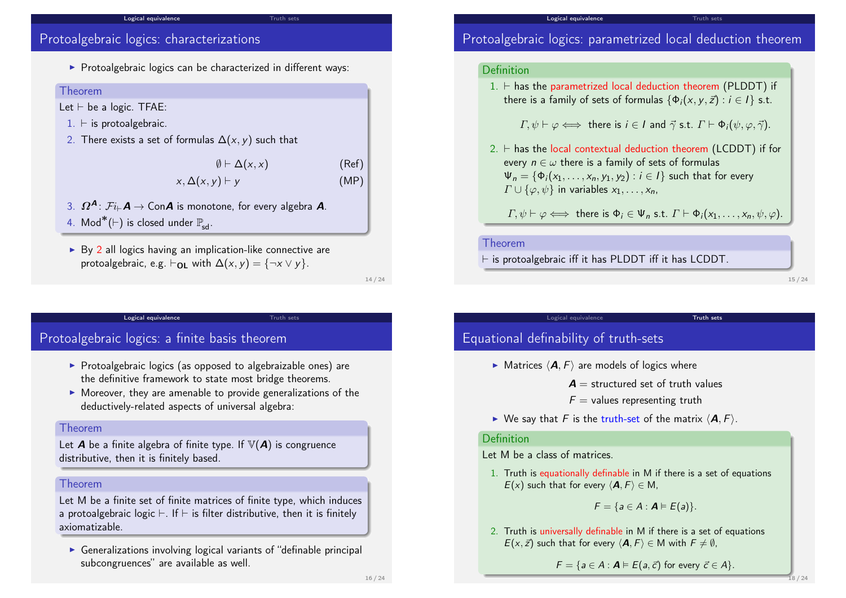### Protoalgebraic logics: characterizations

 $\triangleright$  Protoalgebraic logics can be characterized in different ways:

**Logical equivalence** Truth sets

#### Theorem

Let  $\vdash$  be a logic. TFAE:

- $1. \vdash$  is protoalgebraic.
- 2. There exists a set of formulas  $\Delta(x, y)$  such that

 $\emptyset \vdash \Delta(x, x)$  (Ref)

$$
x, \Delta(x, y) \vdash y \tag{MP}
$$

- 3.  $\Omega^{\mathcal{A}}$ :  $\mathcal{F}i_{\vdash}\mathcal{A} \to \mathsf{Con}\mathcal{A}$  is monotone, for every algebra  $\mathcal{A}$ . 4. Mod $^*(\vdash)$  is closed under  $\mathbb{P}_{\sf sd}.$
- $\triangleright$  By 2 all logics having an implication-like connective are protoalgebraic, e.g.  $\vdash_{\mathbf{OL}}$  with  $\Delta(x, y) = \{\neg x \lor y\}.$

14 / 24

### <span id="page-3-0"></span>Protoalg[ebraic logics](#page-1-0): a finite basis [theore](#page-3-0)m

 $\triangleright$  Protoalgebraic logics (as opposed to algebraizable ones) are the definitive framework to state most bridge theorems.

Logical equivalence Truth sets

 $\triangleright$  Moreover, they are amenable to provide generalizations of the deductively-related aspects of universal algebra:

#### Theorem

Let **A** be a finite algebra of finite type. If  $V(A)$  is congruence distributive, then it is finitely based.

#### Theorem

Let M be a finite set of finite matrices of finite type, which induces a protoalgebraic logic  $\vdash$ . If  $\vdash$  is filter distributive, then it is finitely axiomatizable.

 $\triangleright$  Generalizations involving logical variants of "definable principal subcongruences" are available as well.

### Protoalgebraic logics: parametrized local deduction theorem

Logical equivalence

#### Definition

 $1. \vdash$  has the parametrized local deduction theorem (PLDDT) if there is a family of sets of formulas  $\{\Phi_i(x, y, \vec{z}) : i \in I\}$  s.t.

 $\Gamma$ ,  $\psi \vdash \varphi \Longleftrightarrow$  there is  $i \in I$  and  $\vec{\gamma}$  s.t.  $\Gamma \vdash \Phi_i(\psi, \varphi, \vec{\gamma})$ .

2.  $\vdash$  has the local contextual deduction theorem (LCDDT) if for every  $n \in \omega$  there is a family of sets of formulas  $\Psi_n = {\phi_i(x_1, \ldots, x_n, y_1, y_2) : i \in I}$  such that for every  $\Gamma \cup \{\varphi, \psi\}$  in variables  $x_1, \ldots, x_n$ ,

 $\Gamma, \psi \vdash \varphi \Longleftrightarrow \text{ there is } \Phi_i \in \Psi_n \text{ s.t. } \Gamma \vdash \Phi_i(x_1, \ldots, x_n, \psi, \varphi).$ 

#### Theorem

 $\vdash$  is protoalgebraic iff it has PLDDT iff it has LCDDT.

15 / 24

### Equational definability of truth-sets

 $\blacktriangleright$  Matrices  $\langle A, F \rangle$  are models of logics where

 $A =$  structured set of truth values

 $F =$  values representing truth

Logical equivalence Truth sets

 $\blacktriangleright$  We say that F is the truth-set of the matrix  $\langle \mathbf{A}, F \rangle$ .

#### Definition

Let M be a class of matrices.

1. Truth is equationally definable in M if there is a set of equations  $E(x)$  such that for every  $\langle \mathbf{A}, F \rangle \in M$ ,

$$
F = \{a \in A : \mathbf{A} \models E(a)\}.
$$

2. Truth is universally definable in M if there is a set of equations  $E(x, \vec{z})$  such that for every  $\langle \mathbf{A}, F \rangle \in M$  with  $F \neq \emptyset$ ,

 $F = \{a \in A : A \models E(a, \vec{c})$  for every  $\vec{c} \in A\}.$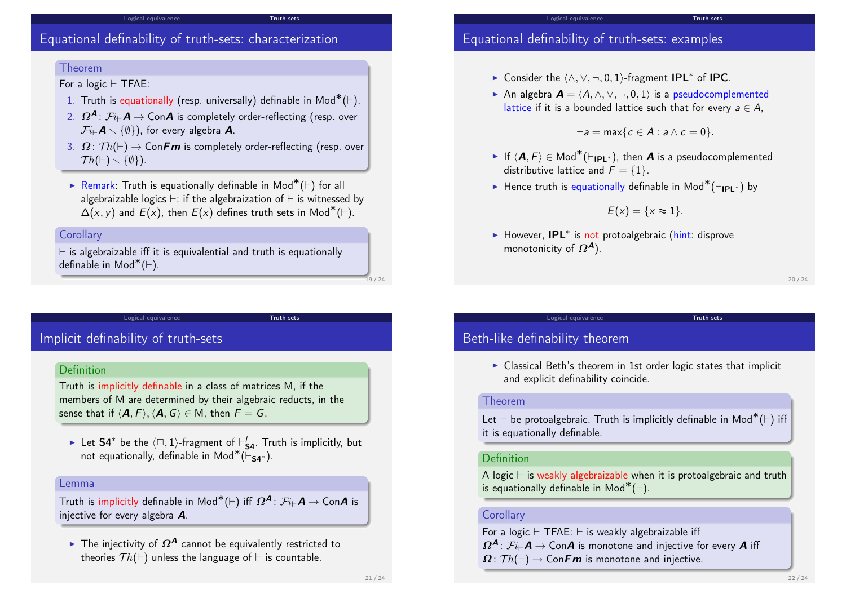### Equational definability of truth-sets: characterization

#### Theorem

For a logic  $\vdash$  TFAE:

1. Truth is equationally (resp. universally) definable in  $\text{Mod}^*(\vdash)$ .

Logical equivalence Truth sets

- 2.  $\Omega^{\mathcal{A}}$ :  $\mathcal{F}i_{\vdash}\mathcal{A} \rightarrow$  Con $\mathcal{A}$  is completely order-reflecting (resp. over  $\mathcal{F}i\text{F}\mathbf{A}\times\{\emptyset\}$ ), for every algebra **A**.
- 3.  $\Omega: \mathcal{T}h(\vdash) \to \mathsf{ConFm}$  is completely order-reflecting (resp. over  $Th(\vdash) \setminus \{\emptyset\}).$
- ► Remark: Truth is equationally definable in Mod<sup>\*</sup>( $\vdash$ ) for all algebraizable logics  $\vdash$ : if the algebraization of  $\vdash$  is witnessed by  $\overline{\Delta}(x, y)$  and  $\overline{E}(x)$ , then  $E(x)$  defines truth sets in Mod\*( $\vdash$ ).

### **Corollary**

 $\vdash$  is algebraizable iff it is equivalential and truth is equationally definable in Mod $^*(\vdash)$ .

Logical equivalence Truth sets

## Implicit [definability](#page-1-0) of truth-sets

### Definition

Truth is implicitly definable in a class of matrices M, if the members of M are determined by their algebraic reducts, in the sense that if  $\langle \mathbf{A}, F \rangle$ ,  $\langle \mathbf{A}, G \rangle \in M$ , then  $F = G$ .

► Let S4\* be the  $\langle \Box, 1 \rangle$ -fragment of  $\vdash'_{\mathsf{S4}}$ . Truth is implicitly, but not equationally, definable in Mod<sup>\*</sup>( $\overline{\vdash}_{\mathsf{S4}^*}$ ).

#### Lemma

Truth is implicitly definable in  $\mathsf{Mod}^*(\vdash)$  iff  $\bm{\varOmega}^{\bm{\mathsf{A}}}\colon \mathcal{F}i_\vdash \bm{\mathsf{A}} \to \mathsf{Con}\bm{\mathsf{A}}$  is injective for every algebra A.

► The injectivity of  $\Omega^A$  cannot be equivalently restricted to theories  $Th(\vdash)$  unless the language of  $\vdash$  is countable.

### Equational definability of truth-sets: examples

- ► Consider the  $\langle \land, \lor, \neg, 0, 1 \rangle$ -fragment IPL<sup>\*</sup> of IPC.
- An algebra  $\mathbf{A} = (A, \wedge, \vee, \neg, 0, 1)$  is a pseudocomplemented lattice if it is a bounded lattice such that for every  $a \in A$ ,

 $\neg a = \max\{c \in A : a \wedge c = 0\}.$ 

Truth sets

- ► If  $\langle \boldsymbol{A}, F \rangle \in \mathsf{Mod}^*(\vdash_{\mathsf{IPL}^*})$ , then  $\boldsymbol{A}$  is a pseudocomplemented distributive lattice and  $F = \{1\}$ .
- ► Hence truth is equationally definable in Mod<sup>\*</sup>( $\vdash_{\mathsf{IPL}^*}$ ) by

$$
E(x)=\{x\approx 1\}.
$$

► However, IPL<sup>\*</sup> is not protoalgebraic (hint: disprove monotonicity of  $\Omega^A$ ).

20 / 24

### Beth-like definability theorem

 $\triangleright$  Classical Beth's theorem in 1st order logic states that implicit and explicit definability coincide.

Logical equivalence Truth sets

#### Theorem

Let  $\vdash$  be protoalgebraic. Truth is implicitly definable in Mod $^*(\vdash)$  iff it is equationally definable.

#### Definition

A logic  $\vdash$  is weakly algebraizable when it is protoalgebraic and truth is equationally definable in  $Mod^*(\vdash)$ .

#### **Corollary**

For a logic  $\vdash$  TFAE:  $\vdash$  is weakly algebraizable iff  $\Omega^{\mathcal{A}}$ :  $\mathcal{F}i_{\vdash}\mathcal{A} \to \mathsf{Con}\mathcal{A}$  is monotone and injective for every  $\mathcal{A}$  iff  $\Omega: \mathcal{T}h(\vdash) \to \mathsf{ConFm}$  is monotone and injective.

19 / 24